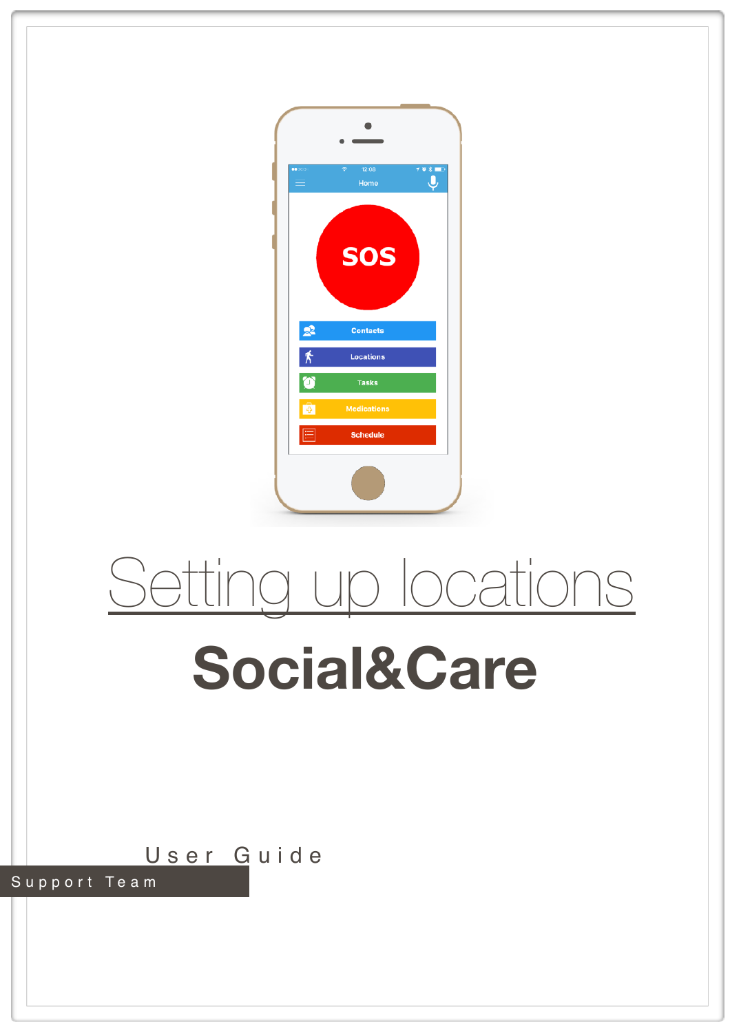

# Setting up locations

## **Social&Care**

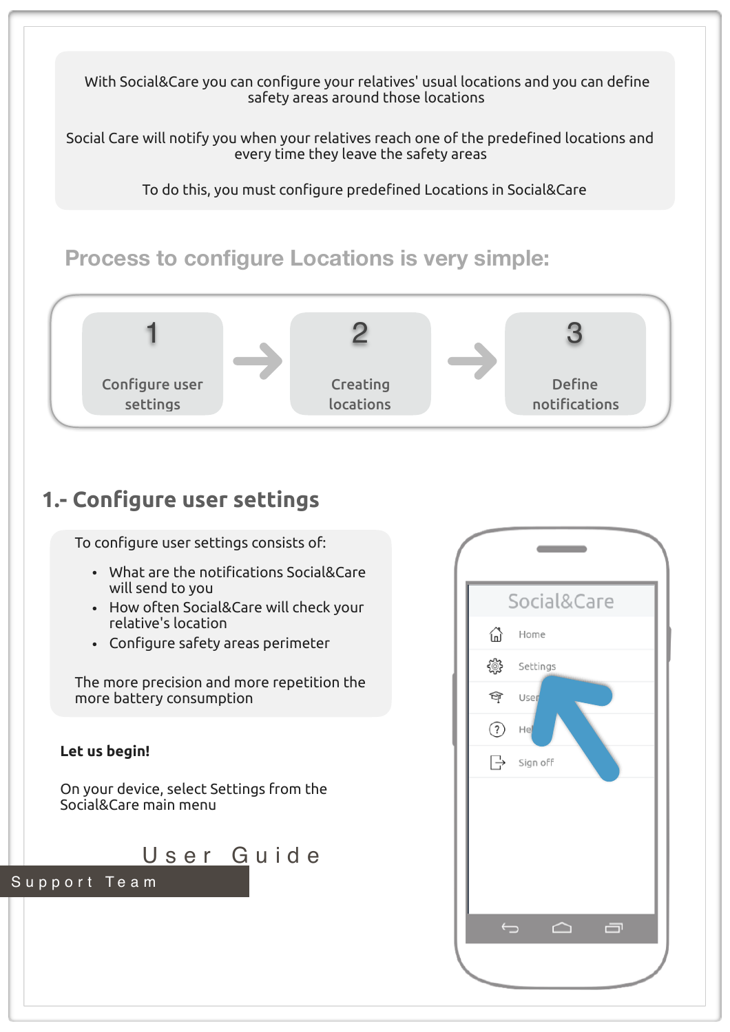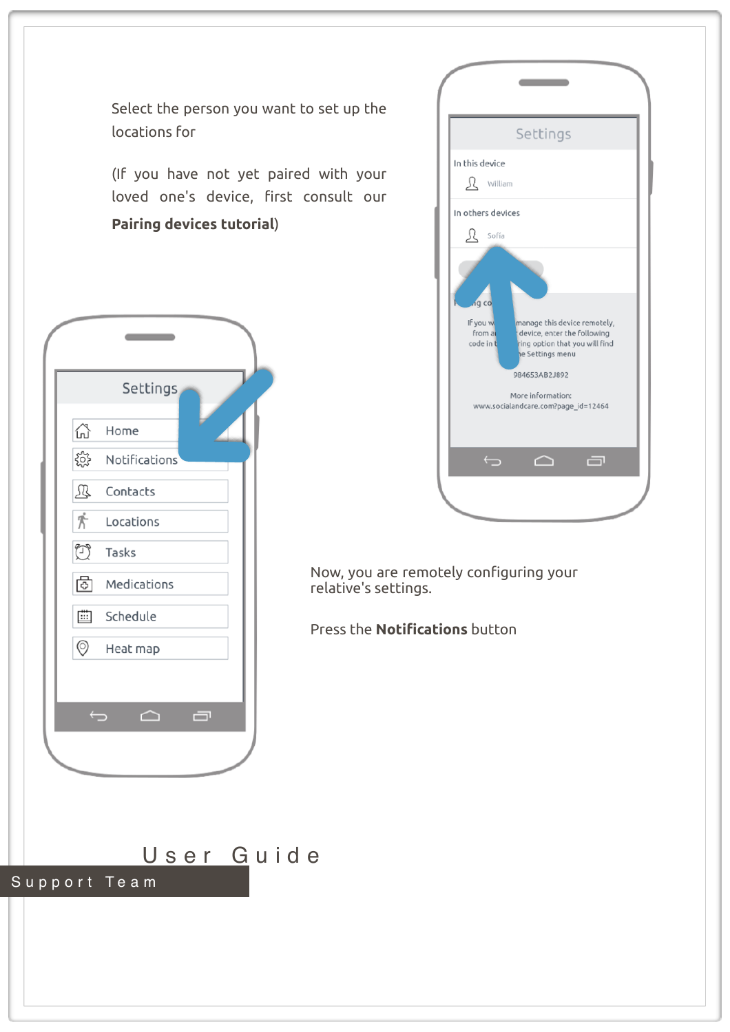Select the person you want to set up the locations for

(If you have not yet paired with your loved one's device, first consult our **Pairing devices tutorial**)



|                                          | Settings                                                                                                                                                                                      |  |
|------------------------------------------|-----------------------------------------------------------------------------------------------------------------------------------------------------------------------------------------------|--|
| In this device                           |                                                                                                                                                                                               |  |
| $\underline{\mathbf{R}}$ William         |                                                                                                                                                                                               |  |
| In others devices                        |                                                                                                                                                                                               |  |
| $\mathfrak{L}$ Sofía                     |                                                                                                                                                                                               |  |
| ig co<br>If you w<br>from a<br>code in t | manage this device remotely,<br>device, enter the following<br>ring option that you will find<br>e Settings menu<br>984653AB2J892<br>More information:<br>www.socialandcare.com?page_id=12464 |  |
| $\overline{\mathbf{C}}$                  | 一<br>◠                                                                                                                                                                                        |  |

Now, you are remotely configuring your relative's settings.

Press the **Notifications** button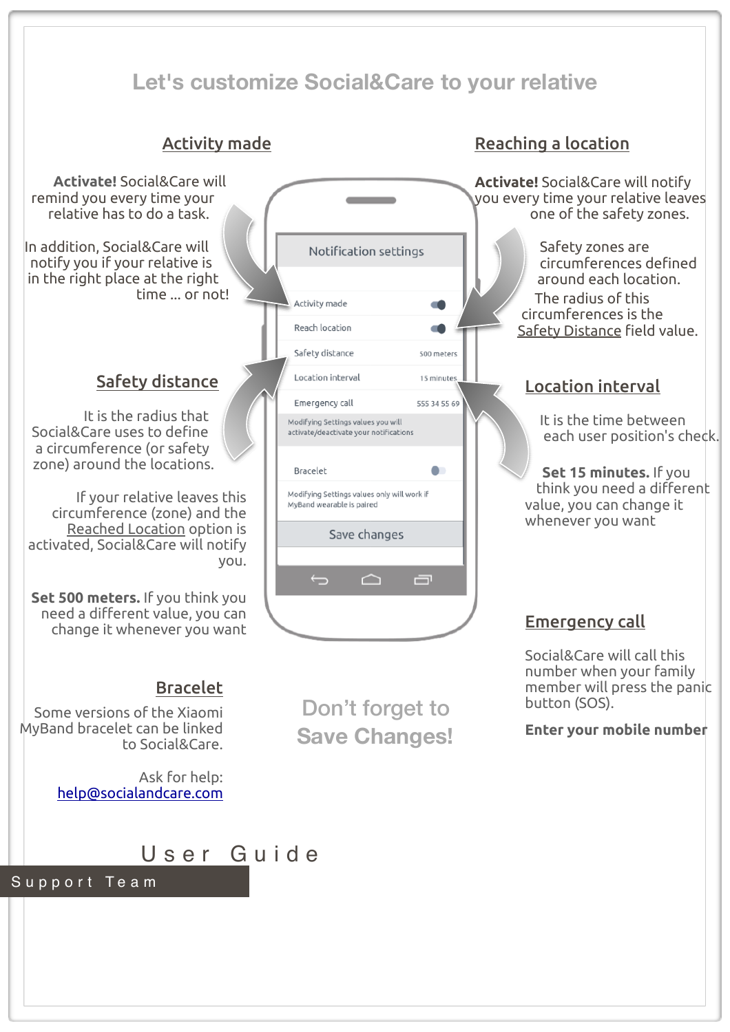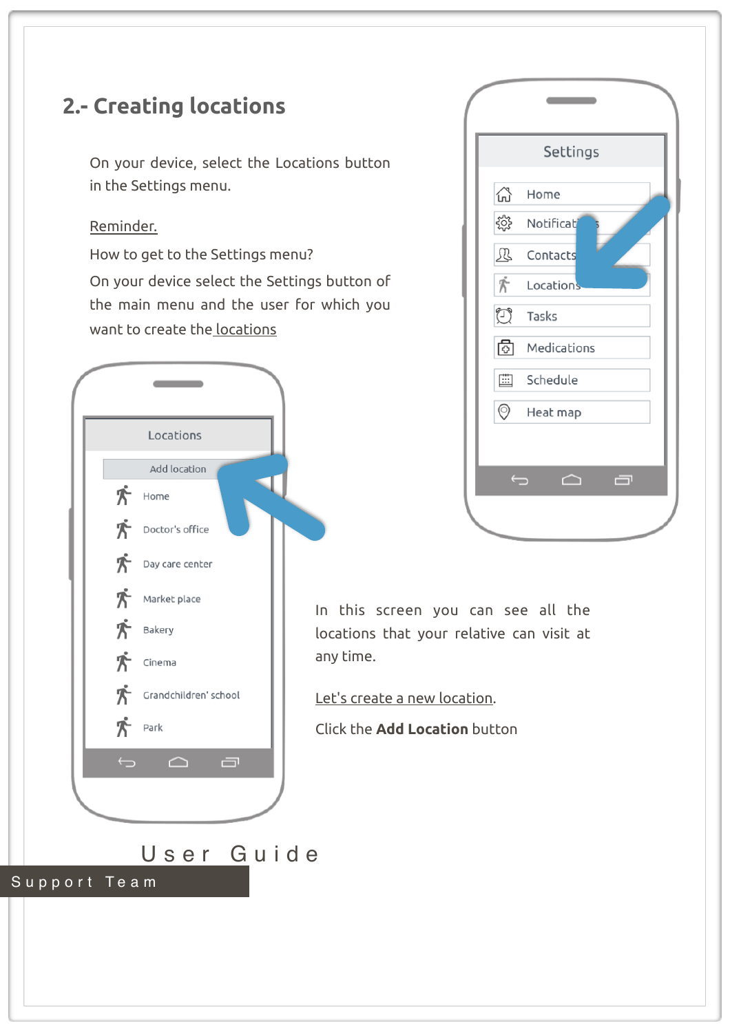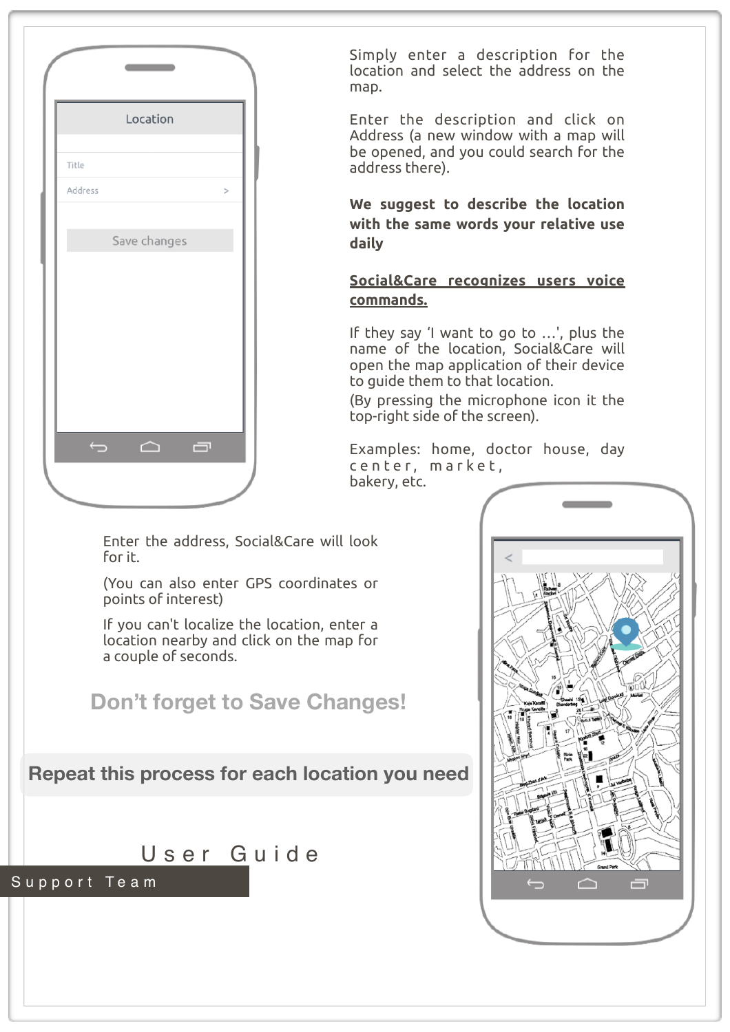

Simply enter a description for the location and select the address on the map.

Enter the description and click on Address (a new window with a map will be opened, and you could search for the address there).

**We suggest to describe the location with the same words your relative use daily**

### **Social&Care recognizes users voice commands.**

If they say 'I want to go to …', plus the name of the location, Social&Care will open the map application of their device to guide them to that location.

(By pressing the microphone icon it the top-right side of the screen).

Examples: home, doctor house, day center, market, bakery, etc.

Enter the address, Social&Care will look for it.

(You can also enter GPS coordinates or points of interest)

If you can't localize the location, enter a location nearby and click on the map for a couple of seconds.



**Repeat this process for each location you need**



Support Team

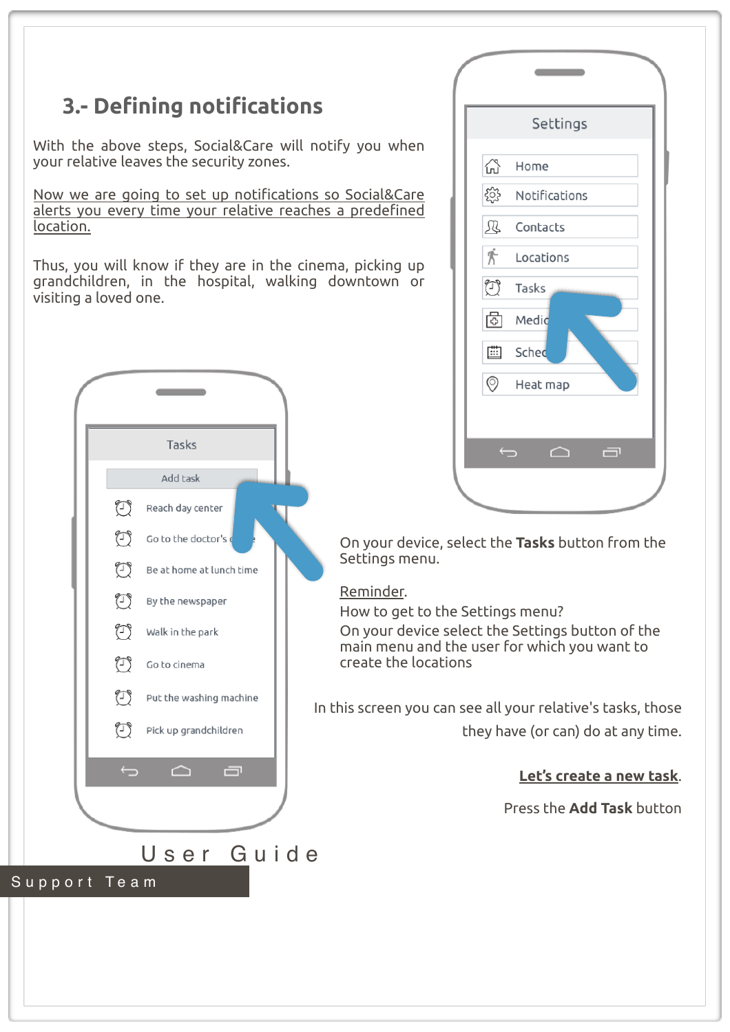## **3.- Defining notifications**

With the above steps, Social&Care will notify you when your relative leaves the security zones.

Now we are going to set up notifications so Social&Care alerts you every time your relative reaches a predefined location.

Thus, you will know if they are in the cinema, picking up grandchildren, in the hospital, walking downtown or visiting a loved one.



|                          | Settings      |
|--------------------------|---------------|
| 삲                        | Home          |
| ૹૢ૾ૺ                     | Notifications |
| Ŀ                        | Contacts      |
| $\mathring{\mathcal{T}}$ | Locations     |
| $\bigodot$               | Tasks         |
| $\boxed{\odot}$          | Medic         |
| ▦                        | Sched         |
| $\circledcirc$           | Heat map      |
|                          |               |
| $\bigoplus$              | 一<br>◠        |

On your device, select the **Tasks** button from the Settings menu.

### Reminder.

How to get to the Settings menu?

On your device select the Settings button of the main menu and the user for which you want to create the locations

In this screen you can see all your relative's tasks, those they have (or can) do at any time.

### **Let's create a new task**.

Press the **Add Task** button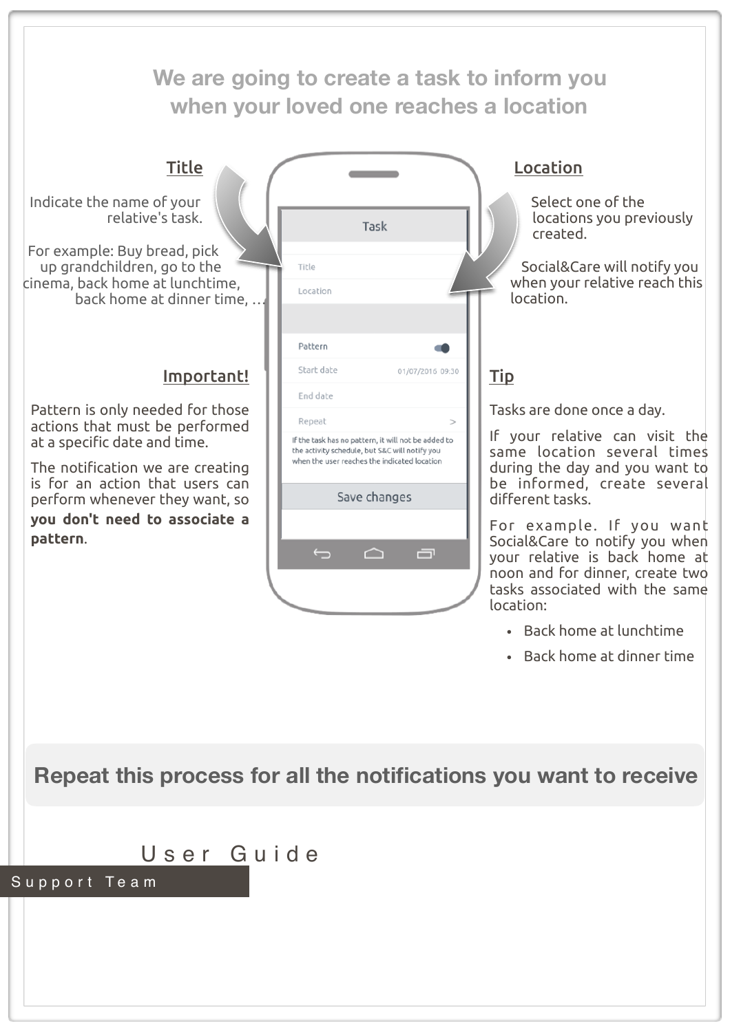